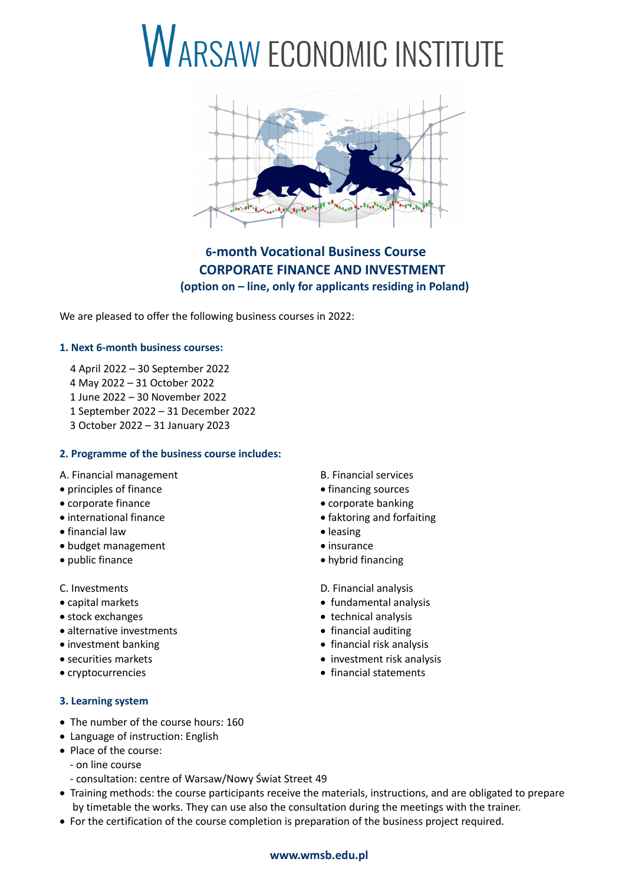# **WARSAW ECONOMIC INSTITUTE**



## **6-month Vocational Business Course CORPORATE FINANCE AND INVESTMENT (option on – line, only for applicants residing in Poland)**

We are pleased to offer the following business courses in 2022:

### **1. Next 6-month business courses:**

- 4 April 2022 30 September 2022
- 4 May 2022 31 October 2022
- 1 June 2022 30 November 2022
- 1 September 2022 31 December 2022
- 3 October 2022 31 January 2023

### **2. Programme of the business course includes:**

- A. Financial management B. Financial services
- principles of finance **finance financing sources**
- 
- 
- financial law **leasing**
- budget management **insurance**
- 
- 
- 
- 
- alternative investments **and intervalled financial auditing**
- 
- 
- 

### **3. Learning system**

- The number of the course hours: 160
- Language of instruction: English
- Place of the course:
	- on line course
	- consultation: centre of Warsaw/Nowy Świat Street 49
- Training methods: the course participants receive the materials, instructions, and are obligated to prepare by timetable the works. They can use also the consultation during the meetings with the trainer.
- For the certification of the course completion is preparation of the business project required.
- 
- 
- corporate finance **corporate banking**
- international finance **faktoring and forfaiting** 
	-
	-
- public finance **hybrid financing**

C. Investments D. Financial analysis

- capital markets **fundamental analysis fundamental analysis**
- stock exchanges **the exchanges technical analysis** 
	-
- investment banking **financial risk analysis** financial risk analysis
- securities markets **investment risk analysis**
- cryptocurrencies **financial statements**

**www.wmsb.edu.pl**